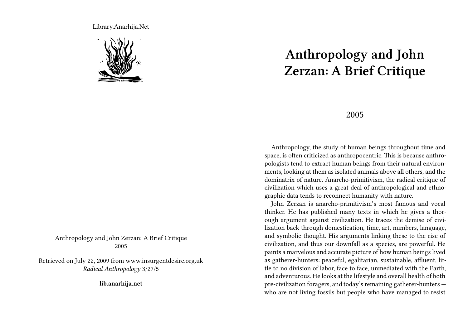Library.Anarhija.Net



Anthropology and John Zerzan: A Brief Critique 2005

Retrieved on July 22, 2009 from www.insurgentdesire.org.uk *Radical Anthropology* 3/27/5

**lib.anarhija.net**

## **Anthropology and John Zerzan: A Brief Critique**

## 2005

Anthropology, the study of human beings throughout time and space, is often criticized as anthropocentric. This is because anthropologists tend to extract human beings from their natural environments, looking at them as isolated animals above all others, and the dominatrix of nature. Anarcho-primitivism, the radical critique of civilization which uses a great deal of anthropological and ethnographic data tends to reconnect humanity with nature.

John Zerzan is anarcho-primitivism's most famous and vocal thinker. He has published many texts in which he gives a thorough argument against civilization. He traces the demise of civilization back through domestication, time, art, numbers, language, and symbolic thought. His arguments linking these to the rise of civilization, and thus our downfall as a species, are powerful. He paints a marvelous and accurate picture of how human beings lived as gatherer-hunters: peaceful, egalitarian, sustainable, affluent, little to no division of labor, face to face, unmediated with the Earth, and adventurous. He looks at the lifestyle and overall health of both pre-civilization foragers, and today's remaining gatherer-hunters who are not living fossils but people who have managed to resist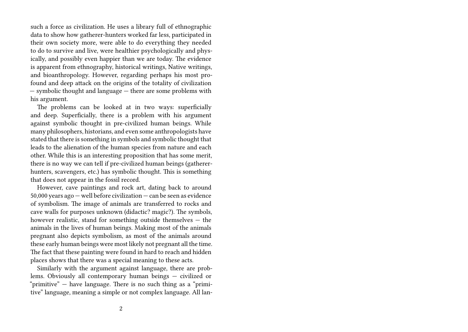such a force as civilization. He uses a library full of ethnographic data to show how gatherer-hunters worked far less, participated in their own society more, were able to do everything they needed to do to survive and live, were healthier psychologically and physically, and possibly even happier than we are today. The evidence is apparent from ethnography, historical writings, Native writings, and bioanthropology. However, regarding perhaps his most profound and deep attack on the origins of the totality of civilization — symbolic thought and language — there are some problems with his argument.

The problems can be looked at in two ways: superficially and deep. Superficially, there is a problem with his argument against symbolic thought in pre-civilized human beings. While many philosophers, historians, and even some anthropologists have stated that there is something in symbols and symbolic thought that leads to the alienation of the human species from nature and each other. While this is an interesting proposition that has some merit, there is no way we can tell if pre-civilized human beings (gathererhunters, scavengers, etc.) has symbolic thought. This is something that does not appear in the fossil record.

However, cave paintings and rock art, dating back to around 50,000 years ago — well before civilization — can be seen as evidence of symbolism. The image of animals are transferred to rocks and cave walls for purposes unknown (didactic? magic?). The symbols, however realistic, stand for something outside themselves — the animals in the lives of human beings. Making most of the animals pregnant also depicts symbolism, as most of the animals around these early human beings were most likely not pregnant all the time. The fact that these painting were found in hard to reach and hidden places shows that there was a special meaning to these acts.

Similarly with the argument against language, there are problems. Obviously all contemporary human beings — civilized or "primitive"  $-$  have language. There is no such thing as a "primitive" language, meaning a simple or not complex language. All lan-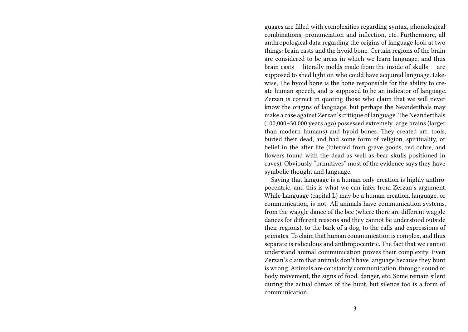guages are filled with complexities regarding syntax, phonological combinations, pronunciation and inflection, etc. Furthermore, all anthropological data regarding the origins of language look at two things: brain casts and the hyoid bone. Certain regions of the brain are considered to be areas in which we learn language, and thus brain casts — literally molds made from the inside of skulls — are supposed to shed light on who could have acquired language. Likewise, The hyoid bone is the bone responsible for the ability to create human speech, and is supposed to be an indicator of language. Zerzan is correct in quoting those who claim that we will never know the origins of language, but perhaps the Neanderthals may make a case against Zerzan's critique of language.The Neanderthals (100,000–30,000 years ago) possessed extremely large brains (larger than modern humans) and hyoid bones. They created art, tools, buried their dead, and had some form of religion, spirituality, or belief in the after life (inferred from grave goods, red ochre, and flowers found with the dead as well as bear skulls positioned in caves). Obviously "primitives" most of the evidence says they have symbolic thought and language.

Saying that language is a human only creation is highly anthropocentric, and this is what we can infer from Zerzan's argument. While Language (capital L) may be a human creation, language, or communication, is not. All animals have communication systems, from the waggle dance of the bee (where there are different waggle dances for different reasons and they cannot be understood outside their regions), to the bark of a dog, to the calls and expressions of primates. To claim that human communication is complex, and thus separate is ridiculous and anthropocentric. The fact that we cannot understand animal communication proves their complexity. Even Zerzan's claim that animals don't have language because they hunt is wrong. Animals are constantly communication, through sound or body movement, the signs of food, danger, etc. Some remain silent during the actual climax of the hunt, but silence too is a form of communication.